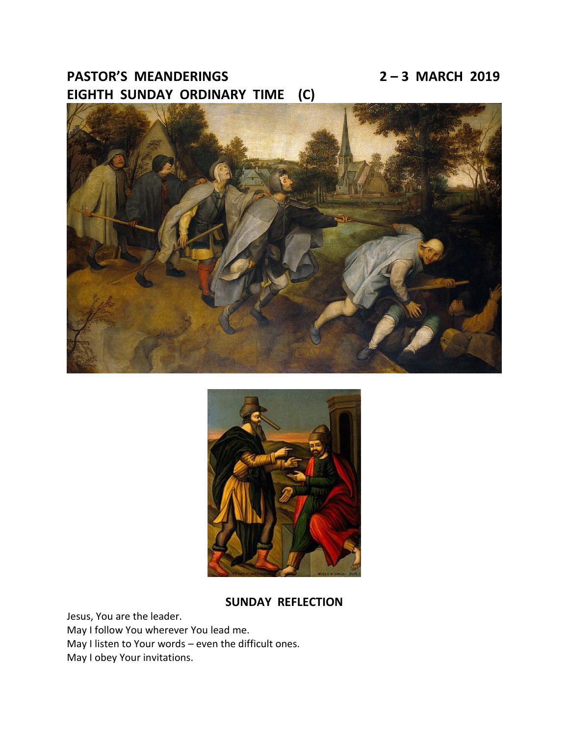# PASTOR'S MEANDERINGS **2-3 MARCH 2019 EIGHTH SUNDAY ORDINARY TIME (C)**





### **SUNDAY REFLECTION**

Jesus, You are the leader. May I follow You wherever You lead me. May I listen to Your words – even the difficult ones. May I obey Your invitations.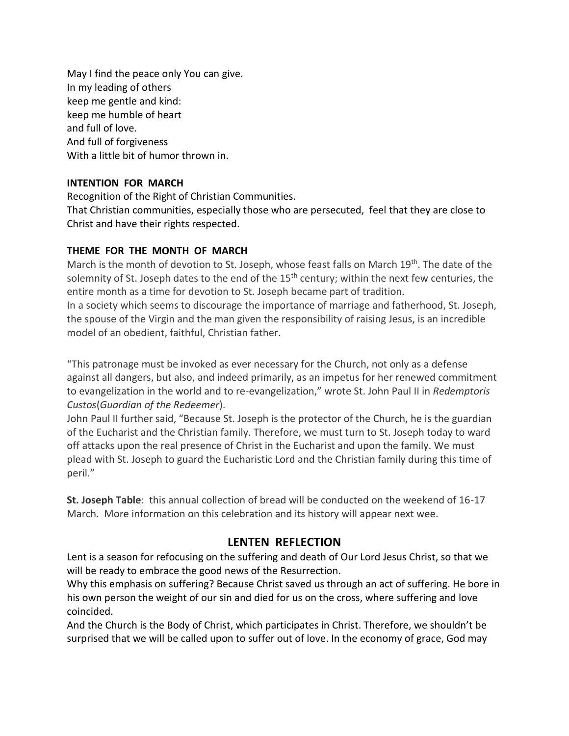May I find the peace only You can give. In my leading of others keep me gentle and kind: keep me humble of heart and full of love. And full of forgiveness With a little bit of humor thrown in.

### **INTENTION FOR MARCH**

Recognition of the Right of Christian Communities.

That Christian communities, especially those who are persecuted, feel that they are close to Christ and have their rights respected.

### **THEME FOR THE MONTH OF MARCH**

March is the month of devotion to St. Joseph, whose feast falls on March 19<sup>th</sup>. The date of the solemnity of St. Joseph dates to the end of the 15<sup>th</sup> century; within the next few centuries, the entire month as a time for devotion to St. Joseph became part of tradition.

In a society which seems to discourage the importance of marriage and fatherhood, St. Joseph, the spouse of the Virgin and the man given the responsibility of raising Jesus, is an incredible model of an obedient, faithful, Christian father.

"This patronage must be invoked as ever necessary for the Church, not only as a defense against all dangers, but also, and indeed primarily, as an impetus for her renewed commitment to evangelization in the world and to re-evangelization," wrote St. John Paul II in *Redemptoris Custos*(*Guardian of the Redeemer*).

John Paul II further said, "Because St. Joseph is the protector of the Church, he is the guardian of the Eucharist and the Christian family. Therefore, we must turn to St. Joseph today to ward off attacks upon the real presence of Christ in the Eucharist and upon the family. We must plead with St. Joseph to guard the Eucharistic Lord and the Christian family during this time of peril."

**St. Joseph Table**: this annual collection of bread will be conducted on the weekend of 16-17 March. More information on this celebration and its history will appear next wee.

# **LENTEN REFLECTION**

Lent is a season for refocusing on the suffering and death of Our Lord Jesus Christ, so that we will be ready to embrace the good news of the Resurrection.

Why this emphasis on suffering? Because Christ saved us through an act of suffering. He bore in his own person the weight of our sin and died for us on the cross, where suffering and love coincided.

And the Church is the Body of Christ, which participates in Christ. Therefore, we shouldn't be surprised that we will be called upon to suffer out of love. In the economy of grace, God may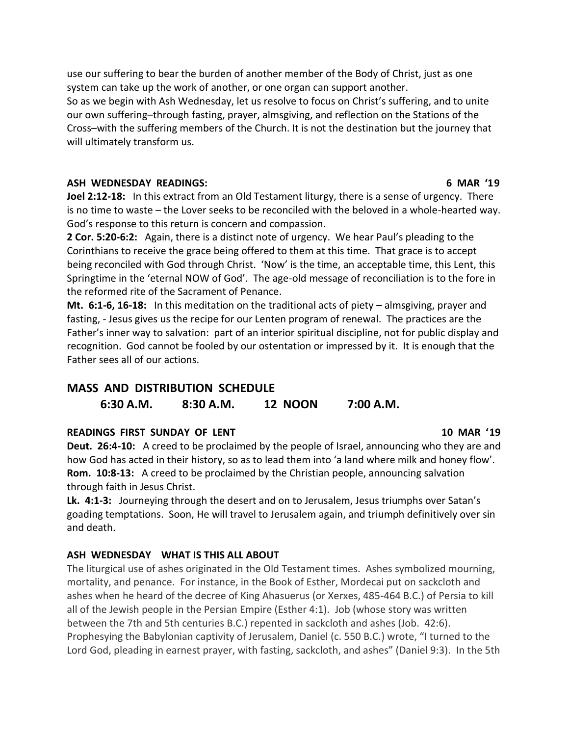use our suffering to bear the burden of another member of the Body of Christ, just as one system can take up the work of another, or one organ can support another.

So as we begin with Ash Wednesday, let us resolve to focus on Christ's suffering, and to unite our own suffering–through fasting, prayer, almsgiving, and reflection on the Stations of the Cross–with the suffering members of the Church. It is not the destination but the journey that will ultimately transform us.

### **ASH WEDNESDAY READINGS: 6 MAR '19**

**Joel 2:12-18:** In this extract from an Old Testament liturgy, there is a sense of urgency. There is no time to waste – the Lover seeks to be reconciled with the beloved in a whole-hearted way. God's response to this return is concern and compassion.

**2 Cor. 5:20-6:2:** Again, there is a distinct note of urgency. We hear Paul's pleading to the Corinthians to receive the grace being offered to them at this time. That grace is to accept being reconciled with God through Christ. 'Now' is the time, an acceptable time, this Lent, this Springtime in the 'eternal NOW of God'. The age-old message of reconciliation is to the fore in the reformed rite of the Sacrament of Penance.

**Mt. 6:1-6, 16-18:** In this meditation on the traditional acts of piety – almsgiving, prayer and fasting, - Jesus gives us the recipe for our Lenten program of renewal. The practices are the Father's inner way to salvation: part of an interior spiritual discipline, not for public display and recognition. God cannot be fooled by our ostentation or impressed by it. It is enough that the Father sees all of our actions.

# **MASS AND DISTRIBUTION SCHEDULE**

**6:30 A.M. 8:30 A.M. 12 NOON 7:00 A.M.**

### **READINGS FIRST SUNDAY OF LENT 10 MAR '19**

**Deut. 26:4-10:** A creed to be proclaimed by the people of Israel, announcing who they are and how God has acted in their history, so as to lead them into 'a land where milk and honey flow'. **Rom. 10:8-13:** A creed to be proclaimed by the Christian people, announcing salvation through faith in Jesus Christ.

**Lk. 4:1-3:** Journeying through the desert and on to Jerusalem, Jesus triumphs over Satan's goading temptations. Soon, He will travel to Jerusalem again, and triumph definitively over sin and death.

### **ASH WEDNESDAY WHAT IS THIS ALL ABOUT**

The liturgical use of ashes originated in the Old Testament times. Ashes symbolized mourning, mortality, and penance. For instance, in the Book of Esther, Mordecai put on sackcloth and ashes when he heard of the decree of King Ahasuerus (or Xerxes, 485-464 B.C.) of Persia to kill all of the Jewish people in the Persian Empire (Esther 4:1). Job (whose story was written between the 7th and 5th centuries B.C.) repented in sackcloth and ashes (Job. 42:6). Prophesying the Babylonian captivity of Jerusalem, Daniel (c. 550 B.C.) wrote, "I turned to the Lord God, pleading in earnest prayer, with fasting, sackcloth, and ashes" (Daniel 9:3). In the 5th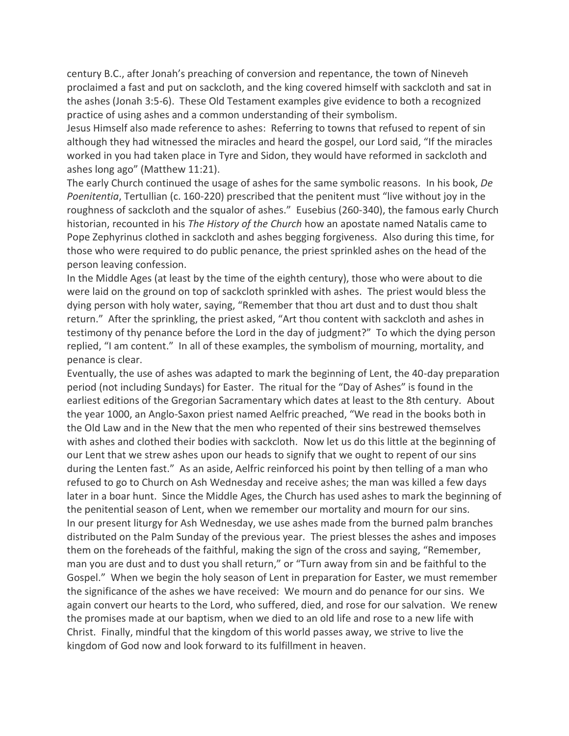century B.C., after Jonah's preaching of conversion and repentance, the town of Nineveh proclaimed a fast and put on sackcloth, and the king covered himself with sackcloth and sat in the ashes (Jonah 3:5-6). These Old Testament examples give evidence to both a recognized practice of using ashes and a common understanding of their symbolism.

Jesus Himself also made reference to ashes: Referring to towns that refused to repent of sin although they had witnessed the miracles and heard the gospel, our Lord said, "If the miracles worked in you had taken place in Tyre and Sidon, they would have reformed in sackcloth and ashes long ago" (Matthew 11:21).

The early Church continued the usage of ashes for the same symbolic reasons. In his book, *De Poenitentia*, Tertullian (c. 160-220) prescribed that the penitent must "live without joy in the roughness of sackcloth and the squalor of ashes." Eusebius (260-340), the famous early Church historian, recounted in his *The History of the Church* how an apostate named Natalis came to Pope Zephyrinus clothed in sackcloth and ashes begging forgiveness. Also during this time, for those who were required to do public penance, the priest sprinkled ashes on the head of the person leaving confession.

In the Middle Ages (at least by the time of the eighth century), those who were about to die were laid on the ground on top of sackcloth sprinkled with ashes. The priest would bless the dying person with holy water, saying, "Remember that thou art dust and to dust thou shalt return." After the sprinkling, the priest asked, "Art thou content with sackcloth and ashes in testimony of thy penance before the Lord in the day of judgment?" To which the dying person replied, "I am content." In all of these examples, the symbolism of mourning, mortality, and penance is clear.

Eventually, the use of ashes was adapted to mark the beginning of Lent, the 40-day preparation period (not including Sundays) for Easter. The ritual for the "Day of Ashes" is found in the earliest editions of the Gregorian Sacramentary which dates at least to the 8th century. About the year 1000, an Anglo-Saxon priest named Aelfric preached, "We read in the books both in the Old Law and in the New that the men who repented of their sins bestrewed themselves with ashes and clothed their bodies with sackcloth. Now let us do this little at the beginning of our Lent that we strew ashes upon our heads to signify that we ought to repent of our sins during the Lenten fast." As an aside, Aelfric reinforced his point by then telling of a man who refused to go to Church on Ash Wednesday and receive ashes; the man was killed a few days later in a boar hunt. Since the Middle Ages, the Church has used ashes to mark the beginning of the penitential season of Lent, when we remember our mortality and mourn for our sins. In our present liturgy for Ash Wednesday, we use ashes made from the burned palm branches distributed on the Palm Sunday of the previous year. The priest blesses the ashes and imposes them on the foreheads of the faithful, making the sign of the cross and saying, "Remember, man you are dust and to dust you shall return," or "Turn away from sin and be faithful to the Gospel." When we begin the holy season of Lent in preparation for Easter, we must remember the significance of the ashes we have received: We mourn and do penance for our sins. We again convert our hearts to the Lord, who suffered, died, and rose for our salvation. We renew the promises made at our baptism, when we died to an old life and rose to a new life with Christ. Finally, mindful that the kingdom of this world passes away, we strive to live the kingdom of God now and look forward to its fulfillment in heaven.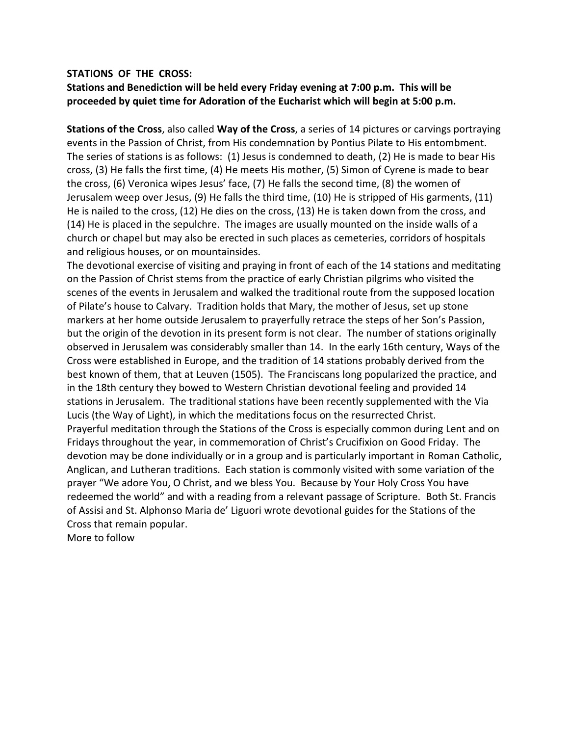### **STATIONS OF THE CROSS:**

### **Stations and Benediction will be held every Friday evening at 7:00 p.m. This will be proceeded by quiet time for Adoration of the Eucharist which will begin at 5:00 p.m.**

**Stations of the Cross**, also called **Way of the Cross**, a series of 14 pictures or carvings portraying events in the Passion of Christ, from His condemnation by Pontius Pilate to His entombment. The series of stations is as follows: (1) Jesus is condemned to death, (2) He is made to bear His cross, (3) He falls the first time, (4) He meets His mother, (5) Simon of Cyrene is made to bear the cross, (6) Veronica wipes Jesus' face, (7) He falls the second time, (8) the women of Jerusalem weep over Jesus, (9) He falls the third time, (10) He is stripped of His garments, (11) He is nailed to the cross, (12) He dies on the cross, (13) He is taken down from the cross, and (14) He is placed in the sepulchre. The images are usually mounted on the inside walls of a church or chapel but may also be erected in such places as cemeteries, corridors of hospitals and religious houses, or on mountainsides.

The devotional exercise of visiting and praying in front of each of the 14 stations and meditating on the Passion of Christ stems from the practice of early Christian pilgrims who visited the scenes of the events in Jerusalem and walked the traditional route from the supposed location of Pilate's house to Calvary. Tradition holds that Mary, the mother of Jesus, set up stone markers at her home outside Jerusalem to prayerfully retrace the steps of her Son's Passion, but the origin of the devotion in its present form is not clear. The number of stations originally observed in Jerusalem was considerably smaller than 14. In the early 16th century, Ways of the Cross were established in Europe, and the tradition of 14 stations probably derived from the best known of them, that at Leuven (1505). The Franciscans long popularized the practice, and in the 18th century they bowed to Western Christian devotional feeling and provided 14 stations in Jerusalem. The traditional stations have been recently supplemented with the Via Lucis (the Way of Light), in which the meditations focus on the resurrected Christ. Prayerful meditation through the Stations of the Cross is especially common during Lent and on Fridays throughout the year, in commemoration of Christ's Crucifixion on Good Friday. The devotion may be done individually or in a group and is particularly important in Roman Catholic, Anglican, and Lutheran traditions. Each station is commonly visited with some variation of the prayer "We adore You, O Christ, and we bless You. Because by Your Holy Cross You have redeemed the world" and with a reading from a relevant passage of Scripture. Both St. Francis of Assisi and St. Alphonso Maria de' Liguori wrote devotional guides for the Stations of the Cross that remain popular.

More to follow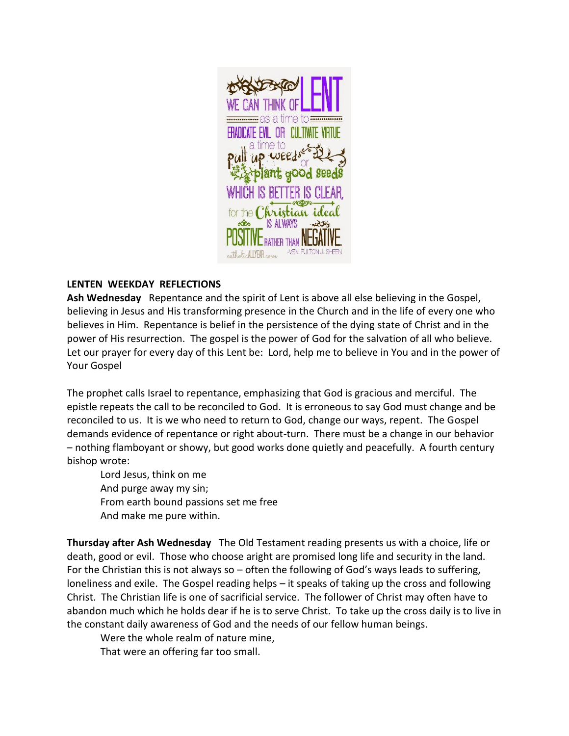

### **LENTEN WEEKDAY REFLECTIONS**

**Ash Wednesday** Repentance and the spirit of Lent is above all else believing in the Gospel, believing in Jesus and His transforming presence in the Church and in the life of every one who believes in Him. Repentance is belief in the persistence of the dying state of Christ and in the power of His resurrection. The gospel is the power of God for the salvation of all who believe. Let our prayer for every day of this Lent be: Lord, help me to believe in You and in the power of Your Gospel

The prophet calls Israel to repentance, emphasizing that God is gracious and merciful. The epistle repeats the call to be reconciled to God. It is erroneous to say God must change and be reconciled to us. It is we who need to return to God, change our ways, repent. The Gospel demands evidence of repentance or right about-turn. There must be a change in our behavior – nothing flamboyant or showy, but good works done quietly and peacefully. A fourth century bishop wrote:

Lord Jesus, think on me And purge away my sin; From earth bound passions set me free And make me pure within.

**Thursday after Ash Wednesday** The Old Testament reading presents us with a choice, life or death, good or evil. Those who choose aright are promised long life and security in the land. For the Christian this is not always so – often the following of God's ways leads to suffering, loneliness and exile. The Gospel reading helps – it speaks of taking up the cross and following Christ. The Christian life is one of sacrificial service. The follower of Christ may often have to abandon much which he holds dear if he is to serve Christ. To take up the cross daily is to live in the constant daily awareness of God and the needs of our fellow human beings.

Were the whole realm of nature mine,

That were an offering far too small.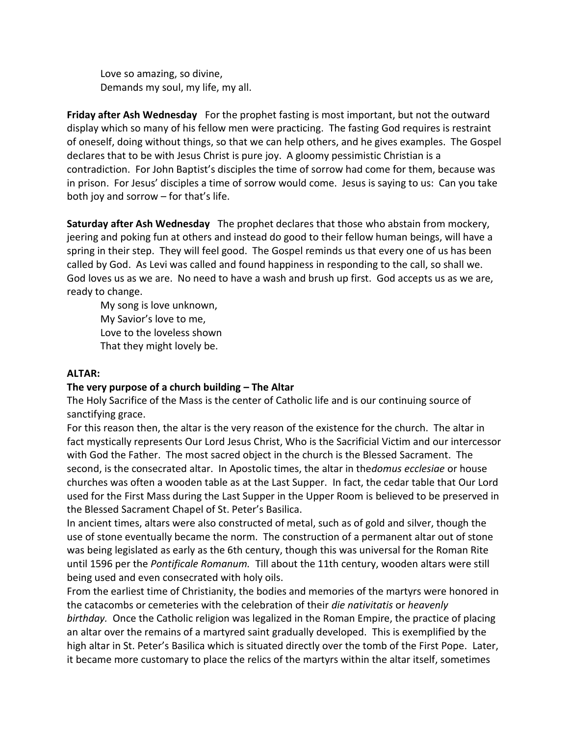Love so amazing, so divine, Demands my soul, my life, my all.

**Friday after Ash Wednesday** For the prophet fasting is most important, but not the outward display which so many of his fellow men were practicing. The fasting God requires is restraint of oneself, doing without things, so that we can help others, and he gives examples. The Gospel declares that to be with Jesus Christ is pure joy. A gloomy pessimistic Christian is a contradiction. For John Baptist's disciples the time of sorrow had come for them, because was in prison. For Jesus' disciples a time of sorrow would come. Jesus is saying to us: Can you take both joy and sorrow – for that's life.

**Saturday after Ash Wednesday** The prophet declares that those who abstain from mockery, jeering and poking fun at others and instead do good to their fellow human beings, will have a spring in their step. They will feel good. The Gospel reminds us that every one of us has been called by God. As Levi was called and found happiness in responding to the call, so shall we. God loves us as we are. No need to have a wash and brush up first. God accepts us as we are, ready to change.

My song is love unknown, My Savior's love to me, Love to the loveless shown That they might lovely be.

### **ALTAR:**

### **The very purpose of a church building – The Altar**

The Holy Sacrifice of the Mass is the center of Catholic life and is our continuing source of sanctifying grace.

For this reason then, the altar is the very reason of the existence for the church. The altar in fact mystically represents Our Lord Jesus Christ, Who is the Sacrificial Victim and our intercessor with God the Father. The most sacred object in the church is the Blessed Sacrament. The second, is the consecrated altar. In Apostolic times, the altar in the*domus ecclesiae* or house churches was often a wooden table as at the Last Supper. In fact, the cedar table that Our Lord used for the First Mass during the Last Supper in the Upper Room is believed to be preserved in the Blessed Sacrament Chapel of St. Peter's Basilica.

In ancient times, altars were also constructed of metal, such as of gold and silver, though the use of stone eventually became the norm. The construction of a permanent altar out of stone was being legislated as early as the 6th century, though this was universal for the Roman Rite until 1596 per the *Pontificale Romanum.* Till about the 11th century, wooden altars were still being used and even consecrated with holy oils.

From the earliest time of Christianity, the bodies and memories of the martyrs were honored in the catacombs or cemeteries with the celebration of their *die nativitatis* or *heavenly birthday.* Once the Catholic religion was legalized in the Roman Empire, the practice of placing an altar over the remains of a martyred saint gradually developed. This is exemplified by the high altar in St. Peter's Basilica which is situated directly over the tomb of the First Pope. Later, it became more customary to place the relics of the martyrs within the altar itself, sometimes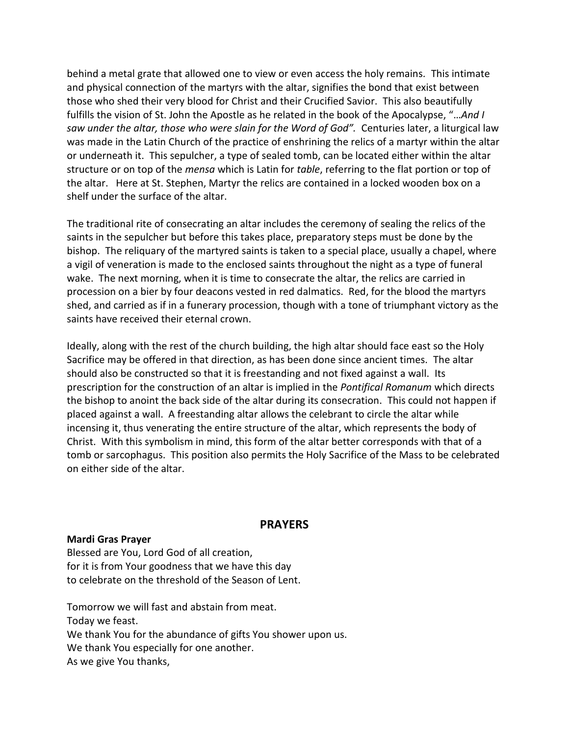behind a metal grate that allowed one to view or even access the holy remains. This intimate and physical connection of the martyrs with the altar, signifies the bond that exist between those who shed their very blood for Christ and their Crucified Savior. This also beautifully fulfills the vision of St. John the Apostle as he related in the book of the Apocalypse, "…*And I saw under the altar, those who were slain for the Word of God".* Centuries later, a liturgical law was made in the Latin Church of the practice of enshrining the relics of a martyr within the altar or underneath it. This sepulcher, a type of sealed tomb, can be located either within the altar structure or on top of the *mensa* which is Latin for *table*, referring to the flat portion or top of the altar. Here at St. Stephen, Martyr the relics are contained in a locked wooden box on a shelf under the surface of the altar.

The traditional rite of consecrating an altar includes the ceremony of sealing the relics of the saints in the sepulcher but before this takes place, preparatory steps must be done by the bishop. The reliquary of the martyred saints is taken to a special place, usually a chapel, where a vigil of veneration is made to the enclosed saints throughout the night as a type of funeral wake. The next morning, when it is time to consecrate the altar, the relics are carried in procession on a bier by four deacons vested in red dalmatics. Red, for the blood the martyrs shed, and carried as if in a funerary procession, though with a tone of triumphant victory as the saints have received their eternal crown.

Ideally, along with the rest of the church building, the high altar should face east so the Holy Sacrifice may be offered in that direction, as has been done since ancient times. The altar should also be constructed so that it is freestanding and not fixed against a wall. Its prescription for the construction of an altar is implied in the *Pontifical Romanum* which directs the bishop to anoint the back side of the altar during its consecration. This could not happen if placed against a wall. A freestanding altar allows the celebrant to circle the altar while incensing it, thus venerating the entire structure of the altar, which represents the body of Christ. With this symbolism in mind, this form of the altar better corresponds with that of a tomb or sarcophagus. This position also permits the Holy Sacrifice of the Mass to be celebrated on either side of the altar.

### **PRAYERS**

### **Mardi Gras Prayer**

Blessed are You, Lord God of all creation, for it is from Your goodness that we have this day to celebrate on the threshold of the Season of Lent.

Tomorrow we will fast and abstain from meat. Today we feast. We thank You for the abundance of gifts You shower upon us. We thank You especially for one another. As we give You thanks,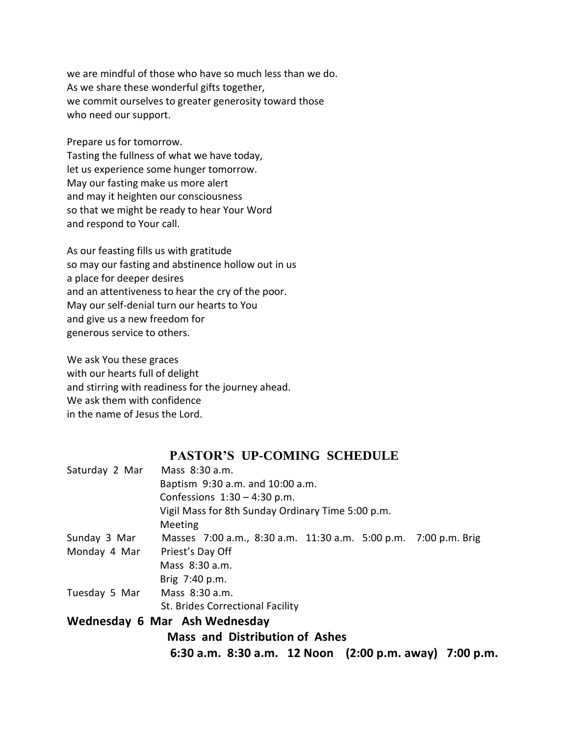we are mindful of those who have so much less than we do. As we share these wonderful gifts together, we commit ourselves to greater generosity toward those who need our support.

Prepare us for tomorrow. Tasting the fullness of what we have today, let us experience some hunger tomorrow. May our fasting make us more alert and may it heighten our consciousness so that we might be ready to hear Your Word and respond to Your call.

As our feasting fills us with gratitude so may our fasting and abstinence hollow out in us a place for deeper desires and an attentiveness to hear the cry of the poor. May our self-denial turn our hearts to You and give us a new freedom for generous service to others.

We ask You these graces with our hearts full of delight and stirring with readiness for the journey ahead. We ask them with confidence in the name of Jesus the Lord.

# **PASTOR'S UP-COMING SCHEDULE**

| Saturday 2 Mar | Mass 8:30 a.m.                                                   |
|----------------|------------------------------------------------------------------|
|                | Baptism 9:30 a.m. and 10:00 a.m.                                 |
|                | Confessions $1:30 - 4:30$ p.m.                                   |
|                | Vigil Mass for 8th Sunday Ordinary Time 5:00 p.m.                |
|                | Meeting                                                          |
| Sunday 3 Mar   | Masses 7:00 a.m., 8:30 a.m. 11:30 a.m. 5:00 p.m. 7:00 p.m. Brig  |
| Monday 4 Mar   | Priest's Day Off                                                 |
|                | Mass 8:30 a.m.                                                   |
|                | Brig 7:40 p.m.                                                   |
| Tuesday 5 Mar  | Mass 8:30 a.m.                                                   |
|                | St. Brides Correctional Facility                                 |
|                | Wednesday 6 Mar Ash Wednesday                                    |
|                | <b>Mass and Distribution of Ashes</b>                            |
|                | 6:30 a.m. 8:30 a.m. 12 Noon $(2:00 \text{ p.m.}$ away) 7:00 p.m. |